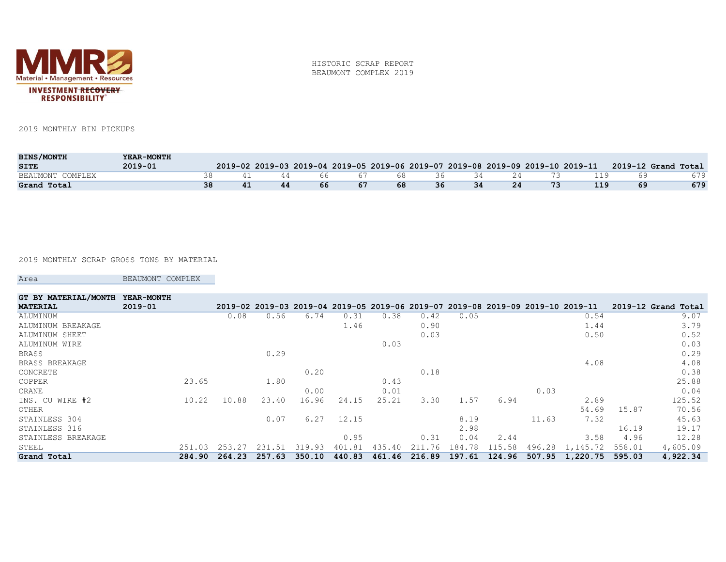

HISTORIC SCRAP REPORT BEAUMONT COMPLEX 2019

2019 MONTHLY BIN PICKUPS

| <b>BINS/MONTH</b> | YEAR-MONTH  |  |    |     |     |    |    |      |    |    |     |                                                                                                     |
|-------------------|-------------|--|----|-----|-----|----|----|------|----|----|-----|-----------------------------------------------------------------------------------------------------|
| <b>SITE</b>       | $2019 - 01$ |  |    |     |     |    |    |      |    |    |     | 2019-02 2019-03 2019-04 2019-05 2019-06 2019-07 2019-08 2019-09 2019-10 2019-11 2019-12 Grand Total |
| BEAUMONT COMPLEX  |             |  | 44 | 66. | -67 | 68 | 36 | - 34 | 24 |    | 119 | 679                                                                                                 |
| Grand Total       |             |  | 44 | 66  | -67 | 68 | 36 | 34   | 24 | 73 |     | 679                                                                                                 |

2019 MONTHLY SCRAP GROSS TONS BY MATERIAL

Area BEAUMONT COMPLEX

| GT BY MATERIAL/MONTH | YEAR-MONTH  |        |        |             |        |        |        |        |        |        |        |                                                                                 |               |          |
|----------------------|-------------|--------|--------|-------------|--------|--------|--------|--------|--------|--------|--------|---------------------------------------------------------------------------------|---------------|----------|
| <b>MATERIAL</b>      | $2019 - 01$ |        |        |             |        |        |        |        |        |        |        | 2019-02 2019-03 2019-04 2019-05 2019-06 2019-07 2019-08 2019-09 2019-10 2019-11 | 2019-12 Grand | Total    |
| ALUMINUM             |             |        | 0.08   | 0.56        | 6.74   | 0.31   | 0.38   | 0.42   | 0.05   |        |        | 0.54                                                                            |               | 9.07     |
| ALUMINUM<br>BREAKAGE |             |        |        |             |        | 1.46   |        | 0.90   |        |        |        | 1.44                                                                            |               | 3.79     |
| ALUMINUM SHEET       |             |        |        |             |        |        |        | 0.03   |        |        |        | 0.50                                                                            |               | 0.52     |
| ALUMINUM WIRE        |             |        |        |             |        |        | 0.03   |        |        |        |        |                                                                                 |               | 0.03     |
| BRASS                |             |        |        | 0.29        |        |        |        |        |        |        |        |                                                                                 |               | 0.29     |
| BRASS BREAKAGE       |             |        |        |             |        |        |        |        |        |        |        | 4.08                                                                            |               | 4.08     |
| CONCRETE             |             |        |        |             | 0.20   |        |        | 0.18   |        |        |        |                                                                                 |               | 0.38     |
| COPPER               |             | 23.65  |        | 1.80        |        |        | 0.43   |        |        |        |        |                                                                                 |               | 25.88    |
| CRANE                |             |        |        |             | 0.00   |        | 0.01   |        |        |        | 0.03   |                                                                                 |               | 0.04     |
| INS. CU WIRE #2      |             | 10.22  | 10.88  | 23.40       | 16.96  | 24.15  | 25.21  | 3.30   | 1.57   | 6.94   |        | 2.89                                                                            |               | 125.52   |
| OTHER                |             |        |        |             |        |        |        |        |        |        |        | 54.69                                                                           | 15.87         | 70.56    |
| STAINLESS 304        |             |        |        | 0.07        | 6.27   | 12.15  |        |        | 8.19   |        | 11.63  | 7.32                                                                            |               | 45.63    |
| STAINLESS 316        |             |        |        |             |        |        |        |        | 2.98   |        |        |                                                                                 | 16.19         | 19.17    |
| STAINLESS BREAKAGE   |             |        |        |             |        | 0.95   |        | 0.31   | 0.04   | 2.44   |        | 3.58                                                                            | 4.96          | 12.28    |
| STEEL                |             | 251.03 | 253    | 231<br>. 51 | 319.93 | 401.81 | 435.40 | 211.76 | 184.78 | 115.58 | 496.28 | 1,145.72                                                                        | 558.01        | 4,605.09 |
| Grand Total          |             | 284.90 | 264.23 | 257.63      | 350.10 | 440.83 | 461.46 | 216.89 | 197.61 | 124.96 | 507.95 | 1,220.75                                                                        | 595.03        | 4,922.34 |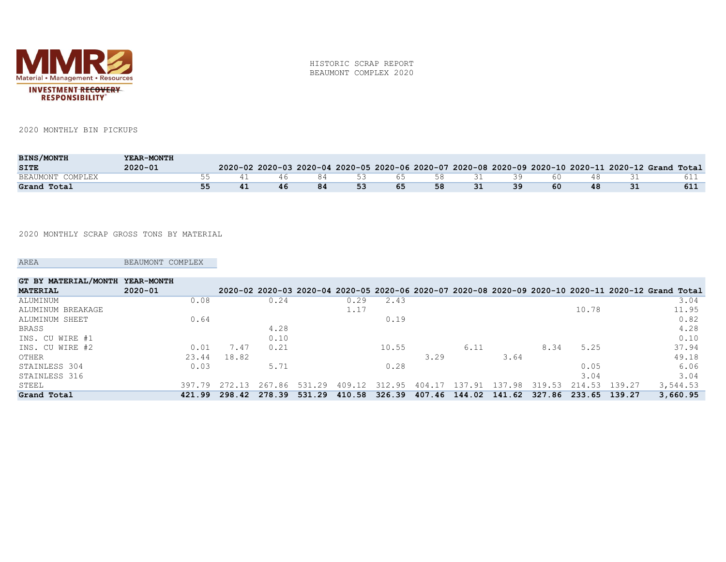

HISTORIC SCRAP REPORT BEAUMONT COMPLEX 2020

2020 MONTHLY BIN PICKUPS

| <b>BINS/MONTH</b> | YEAR-MONTH  |  |     |    |    |     |    |             |     |     |     |                                                                                                     |
|-------------------|-------------|--|-----|----|----|-----|----|-------------|-----|-----|-----|-----------------------------------------------------------------------------------------------------|
| <b>SITE</b>       | $2020 - 01$ |  |     |    |    |     |    |             |     |     |     | 2020-02 2020-03 2020-04 2020-05 2020-06 2020-07 2020-08 2020-09 2020-10 2020-11 2020-12 Grand Total |
| BEAUMONT COMPLEX  |             |  | 46. | 84 |    |     |    | 53 65 58 31 | -39 | 60. | 48. |                                                                                                     |
| Grand Total       |             |  |     | 84 | 53 | -65 | 58 | 31          | 39  | 60  | 48  | 611                                                                                                 |

2020 MONTHLY SCRAP GROSS TONS BY MATERIAL

AREA BEAUMONT COMPLEX

| GT BY MATERIAL/MONTH | <b>YEAR-MONTH</b> |        |        |            |        |        |               |                  |             |        |        |        |                                                                                                     |
|----------------------|-------------------|--------|--------|------------|--------|--------|---------------|------------------|-------------|--------|--------|--------|-----------------------------------------------------------------------------------------------------|
| <b>MATERIAL</b>      | $2020 - 01$       |        |        |            |        |        |               |                  |             |        |        |        | 2020-02 2020-03 2020-04 2020-05 2020-06 2020-07 2020-08 2020-09 2020-10 2020-11 2020-12 Grand Total |
| ALUMINUM             | 0.08              |        | 0.24   |            | 0.29   | 2.43   |               |                  |             |        |        |        | 3.04                                                                                                |
| ALUMINUM BREAKAGE    |                   |        |        |            | 1.17   |        |               |                  |             |        | 10.78  |        | 11.95                                                                                               |
| ALUMINUM SHEET       | 0.64              |        |        |            |        | 0.19   |               |                  |             |        |        |        | 0.82                                                                                                |
| BRASS                |                   |        | 4.28   |            |        |        |               |                  |             |        |        |        | 4.28                                                                                                |
| INS. CU WIRE #1      |                   |        | 0.10   |            |        |        |               |                  |             |        |        |        | 0.10                                                                                                |
| INS. CU WIRE #2      | 0.01              | 7.47   | 0.21   |            |        | 10.55  |               | 6.11             |             | 8.34   | 5.25   |        | 37.94                                                                                               |
| OTHER                | 23.44             | 18.82  |        |            |        |        | 3.29          |                  | 3.64        |        |        |        | 49.18                                                                                               |
| STAINLESS 304        | 0.03              |        | 5.71   |            |        | 0.28   |               |                  |             |        | 0.05   |        | 6.06                                                                                                |
| STAINLESS 316        |                   |        |        |            |        |        |               |                  |             |        | 3.04   |        | 3.04                                                                                                |
| STEEL                | 397.79            | 272.13 | 267.86 | .29<br>531 | 409.12 | 312.95 | 404.17        | $\pm 37$<br>- 91 | . 98<br>137 | 319.53 | 214.53 | 139.27 | 3,544.53                                                                                            |
| Grand Total          | 421.99            | 298.42 | 278.39 | 531.29     | 410.58 | 326.39 | 407.46 144.02 |                  | 141.62      | 327.86 | 233.65 | 139.27 | 3,660.95                                                                                            |